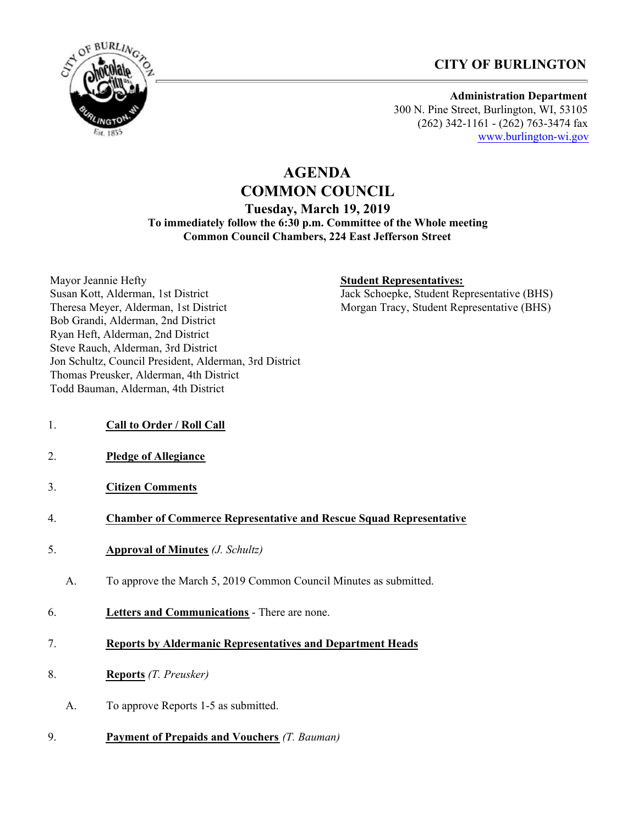



**Administration Department** 300 N. Pine Street, Burlington, WI, 53105 (262) 342-1161 - (262) 763-3474 fax [www.burlington-wi.gov](http://www.burlington-wi.gov)

# **AGENDA COMMON COUNCIL Tuesday, March 19, 2019 To immediately follow the 6:30 p.m. Committee of the Whole meeting Common Council Chambers, 224 East Jefferson Street**

Mayor Jeannie Hefty Susan Kott, Alderman, 1st District Theresa Meyer, Alderman, 1st District Bob Grandi, Alderman, 2nd District Ryan Heft, Alderman, 2nd District Steve Rauch, Alderman, 3rd District Jon Schultz, Council President, Alderman, 3rd District Thomas Preusker, Alderman, 4th District Todd Bauman, Alderman, 4th District

### **Student Representatives:**

Jack Schoepke, Student Representative (BHS) Morgan Tracy, Student Representative (BHS)

- 1. **Call to Order / Roll Call**
- 2. **Pledge of Allegiance**
- 3. **Citizen Comments**

#### 4. **Chamber of Commerce Representative and Rescue Squad Representative**

- 5. **Approval of Minutes** *(J. Schultz)*
	- A. To approve the March 5, 2019 Common Council Minutes as submitted.
- 6. **Letters and Communications** There are none.
- 7. **Reports by Aldermanic Representatives and Department Heads**
- 8. **Reports** *(T. Preusker)*
	- A. To approve Reports 1-5 as submitted.
- 9. **Payment of Prepaids and Vouchers** *(T. Bauman)*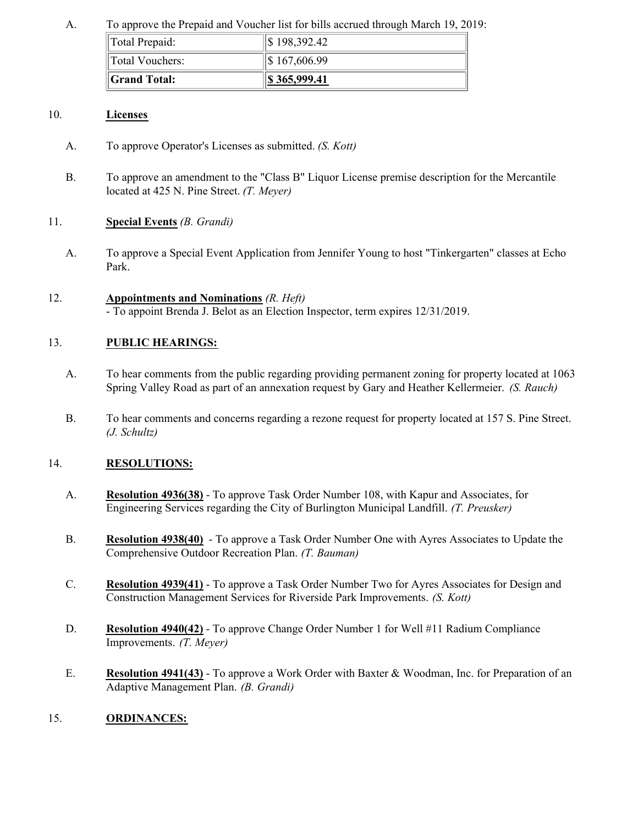### A. To approve the Prepaid and Voucher list for bills accrued through March 19, 2019:

| Total Prepaid:      | \$198,392.42     |
|---------------------|------------------|
| Total Vouchers:     | $\$\,167,606.99$ |
| <b>Grand Total:</b> | 8 365,999.41     |

### 10. **Licenses**

- A. To approve Operator's Licenses as submitted. *(S. Kott)*
- B. To approve an amendment to the "Class B" Liquor License premise description for the Mercantile located at 425 N. Pine Street. *(T. Meyer)*

# 11. **Special Events** *(B. Grandi)*

A. To approve a Special Event Application from Jennifer Young to host "Tinkergarten" classes at Echo Park.

### 12. **Appointments and Nominations** *(R. Heft)*

- To appoint Brenda J. Belot as an Election Inspector, term expires 12/31/2019.

# 13. **PUBLIC HEARINGS:**

- A. To hear comments from the public regarding providing permanent zoning for property located at 1063 Spring Valley Road as part of an annexation request by Gary and Heather Kellermeier. *(S. Rauch)*
- B. To hear comments and concerns regarding a rezone request for property located at 157 S. Pine Street. *(J. Schultz)*

### 14. **RESOLUTIONS:**

- A. **Resolution 4936(38)** To approve Task Order Number 108, with Kapur and Associates, for Engineering Services regarding the City of Burlington Municipal Landfill. *(T. Preusker)*
- B. **Resolution 4938(40)** To approve a Task Order Number One with Ayres Associates to Update the Comprehensive Outdoor Recreation Plan. *(T. Bauman)*
- C. **Resolution 4939(41)** To approve a Task Order Number Two for Ayres Associates for Design and Construction Management Services for Riverside Park Improvements. *(S. Kott)*
- D. **Resolution 4940(42)** To approve Change Order Number 1 for Well #11 Radium Compliance Improvements. *(T. Meyer)*
- E. **Resolution 4941(43)** To approve a Work Order with Baxter & Woodman, Inc. for Preparation of an Adaptive Management Plan. *(B. Grandi)*

### 15. **ORDINANCES:**